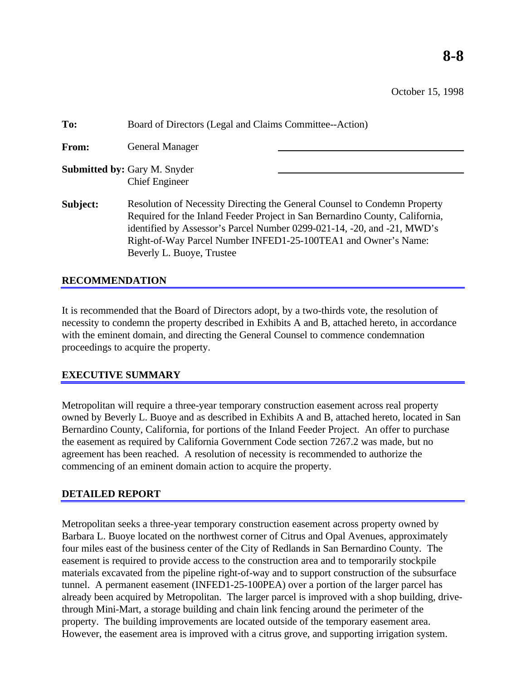October 15, 1998

| To:      | Board of Directors (Legal and Claims Committee--Action)                                                                                                                                                                                                                                                                             |
|----------|-------------------------------------------------------------------------------------------------------------------------------------------------------------------------------------------------------------------------------------------------------------------------------------------------------------------------------------|
| From:    | <b>General Manager</b>                                                                                                                                                                                                                                                                                                              |
|          | <b>Submitted by: Gary M. Snyder</b><br><b>Chief Engineer</b>                                                                                                                                                                                                                                                                        |
| Subject: | Resolution of Necessity Directing the General Counsel to Condemn Property<br>Required for the Inland Feeder Project in San Bernardino County, California,<br>identified by Assessor's Parcel Number 0299-021-14, -20, and -21, MWD's<br>Right-of-Way Parcel Number INFED1-25-100TEA1 and Owner's Name:<br>Beverly L. Buoye, Trustee |

#### **RECOMMENDATION**

It is recommended that the Board of Directors adopt, by a two-thirds vote, the resolution of necessity to condemn the property described in Exhibits A and B, attached hereto, in accordance with the eminent domain, and directing the General Counsel to commence condemnation proceedings to acquire the property.

# **EXECUTIVE SUMMARY**

Metropolitan will require a three-year temporary construction easement across real property owned by Beverly L. Buoye and as described in Exhibits A and B, attached hereto, located in San Bernardino County, California, for portions of the Inland Feeder Project. An offer to purchase the easement as required by California Government Code section 7267.2 was made, but no agreement has been reached. A resolution of necessity is recommended to authorize the commencing of an eminent domain action to acquire the property.

# **DETAILED REPORT**

Metropolitan seeks a three-year temporary construction easement across property owned by Barbara L. Buoye located on the northwest corner of Citrus and Opal Avenues, approximately four miles east of the business center of the City of Redlands in San Bernardino County. The easement is required to provide access to the construction area and to temporarily stockpile materials excavated from the pipeline right-of-way and to support construction of the subsurface tunnel. A permanent easement (INFED1-25-100PEA) over a portion of the larger parcel has already been acquired by Metropolitan. The larger parcel is improved with a shop building, drivethrough Mini-Mart, a storage building and chain link fencing around the perimeter of the property. The building improvements are located outside of the temporary easement area. However, the easement area is improved with a citrus grove, and supporting irrigation system.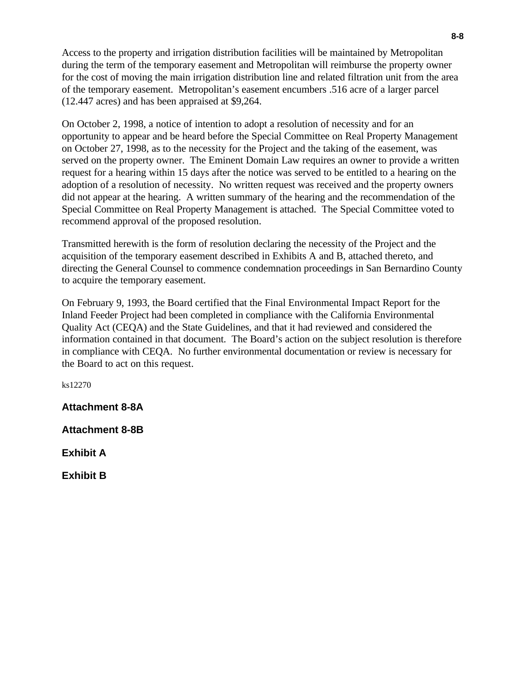Access to the property and irrigation distribution facilities will be maintained by Metropolitan during the term of the temporary easement and Metropolitan will reimburse the property owner for the cost of moving the main irrigation distribution line and related filtration unit from the area of the temporary easement. Metropolitan's easement encumbers .516 acre of a larger parcel (12.447 acres) and has been appraised at \$9,264.

On October 2, 1998, a notice of intention to adopt a resolution of necessity and for an opportunity to appear and be heard before the Special Committee on Real Property Management on October 27, 1998, as to the necessity for the Project and the taking of the easement, was served on the property owner. The Eminent Domain Law requires an owner to provide a written request for a hearing within 15 days after the notice was served to be entitled to a hearing on the adoption of a resolution of necessity. No written request was received and the property owners did not appear at the hearing. A written summary of the hearing and the recommendation of the Special Committee on Real Property Management is attached. The Special Committee voted to recommend approval of the proposed resolution.

Transmitted herewith is the form of resolution declaring the necessity of the Project and the acquisition of the temporary easement described in Exhibits A and B, attached thereto, and directing the General Counsel to commence condemnation proceedings in San Bernardino County to acquire the temporary easement.

On February 9, 1993, the Board certified that the Final Environmental Impact Report for the Inland Feeder Project had been completed in compliance with the California Environmental Quality Act (CEQA) and the State Guidelines, and that it had reviewed and considered the information contained in that document. The Board's action on the subject resolution is therefore in compliance with CEQA. No further environmental documentation or review is necessary for the Board to act on this request.

ks12270

**Attachment 8-8A**

**Attachment 8-8B**

**Exhibit A**

**Exhibit B**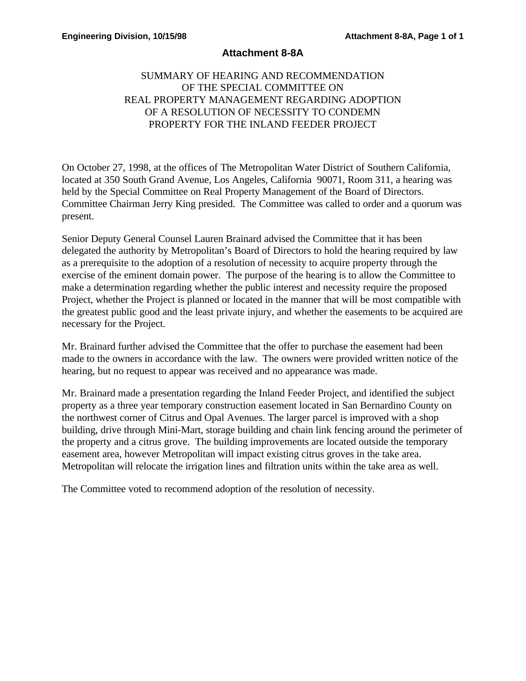## **Attachment 8-8A**

# SUMMARY OF HEARING AND RECOMMENDATION OF THE SPECIAL COMMITTEE ON REAL PROPERTY MANAGEMENT REGARDING ADOPTION OF A RESOLUTION OF NECESSITY TO CONDEMN PROPERTY FOR THE INLAND FEEDER PROJECT

On October 27, 1998, at the offices of The Metropolitan Water District of Southern California, located at 350 South Grand Avenue, Los Angeles, California 90071, Room 311, a hearing was held by the Special Committee on Real Property Management of the Board of Directors. Committee Chairman Jerry King presided. The Committee was called to order and a quorum was present.

Senior Deputy General Counsel Lauren Brainard advised the Committee that it has been delegated the authority by Metropolitan's Board of Directors to hold the hearing required by law as a prerequisite to the adoption of a resolution of necessity to acquire property through the exercise of the eminent domain power. The purpose of the hearing is to allow the Committee to make a determination regarding whether the public interest and necessity require the proposed Project, whether the Project is planned or located in the manner that will be most compatible with the greatest public good and the least private injury, and whether the easements to be acquired are necessary for the Project.

Mr. Brainard further advised the Committee that the offer to purchase the easement had been made to the owners in accordance with the law. The owners were provided written notice of the hearing, but no request to appear was received and no appearance was made.

Mr. Brainard made a presentation regarding the Inland Feeder Project, and identified the subject property as a three year temporary construction easement located in San Bernardino County on the northwest corner of Citrus and Opal Avenues. The larger parcel is improved with a shop building, drive through Mini-Mart, storage building and chain link fencing around the perimeter of the property and a citrus grove. The building improvements are located outside the temporary easement area, however Metropolitan will impact existing citrus groves in the take area. Metropolitan will relocate the irrigation lines and filtration units within the take area as well.

The Committee voted to recommend adoption of the resolution of necessity.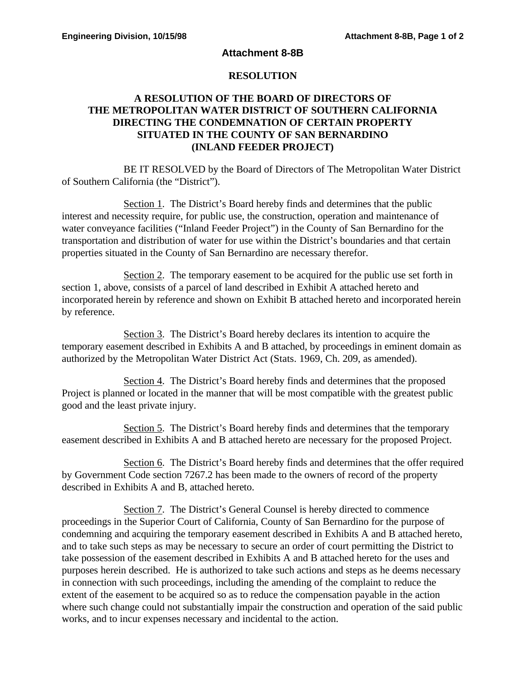#### **Attachment 8-8B**

## **RESOLUTION**

## **A RESOLUTION OF THE BOARD OF DIRECTORS OF THE METROPOLITAN WATER DISTRICT OF SOUTHERN CALIFORNIA DIRECTING THE CONDEMNATION OF CERTAIN PROPERTY SITUATED IN THE COUNTY OF SAN BERNARDINO (INLAND FEEDER PROJECT)**

BE IT RESOLVED by the Board of Directors of The Metropolitan Water District of Southern California (the "District").

Section 1. The District's Board hereby finds and determines that the public interest and necessity require, for public use, the construction, operation and maintenance of water conveyance facilities ("Inland Feeder Project") in the County of San Bernardino for the transportation and distribution of water for use within the District's boundaries and that certain properties situated in the County of San Bernardino are necessary therefor.

Section 2. The temporary easement to be acquired for the public use set forth in section 1, above, consists of a parcel of land described in Exhibit A attached hereto and incorporated herein by reference and shown on Exhibit B attached hereto and incorporated herein by reference.

Section 3. The District's Board hereby declares its intention to acquire the temporary easement described in Exhibits A and B attached, by proceedings in eminent domain as authorized by the Metropolitan Water District Act (Stats. 1969, Ch. 209, as amended).

Section 4. The District's Board hereby finds and determines that the proposed Project is planned or located in the manner that will be most compatible with the greatest public good and the least private injury.

Section 5. The District's Board hereby finds and determines that the temporary easement described in Exhibits A and B attached hereto are necessary for the proposed Project.

Section 6. The District's Board hereby finds and determines that the offer required by Government Code section 7267.2 has been made to the owners of record of the property described in Exhibits A and B, attached hereto.

Section 7. The District's General Counsel is hereby directed to commence proceedings in the Superior Court of California, County of San Bernardino for the purpose of condemning and acquiring the temporary easement described in Exhibits A and B attached hereto, and to take such steps as may be necessary to secure an order of court permitting the District to take possession of the easement described in Exhibits A and B attached hereto for the uses and purposes herein described. He is authorized to take such actions and steps as he deems necessary in connection with such proceedings, including the amending of the complaint to reduce the extent of the easement to be acquired so as to reduce the compensation payable in the action where such change could not substantially impair the construction and operation of the said public works, and to incur expenses necessary and incidental to the action.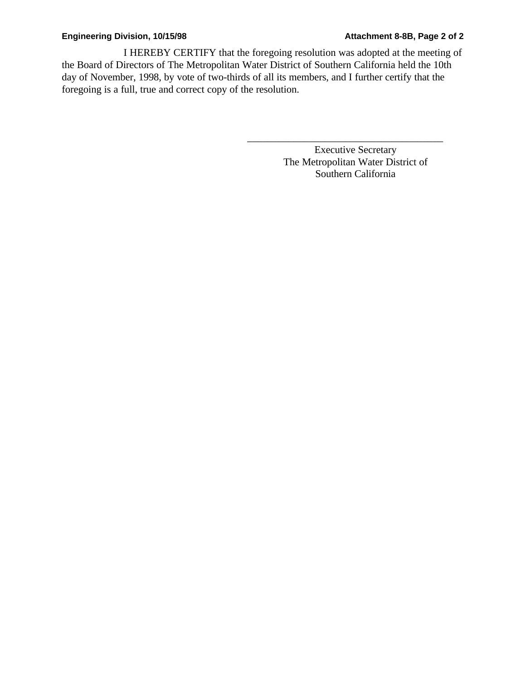I HEREBY CERTIFY that the foregoing resolution was adopted at the meeting of the Board of Directors of The Metropolitan Water District of Southern California held the 10th day of November, 1998, by vote of two-thirds of all its members, and I further certify that the foregoing is a full, true and correct copy of the resolution.

> Executive Secretary The Metropolitan Water District of Southern California

\_\_\_\_\_\_\_\_\_\_\_\_\_\_\_\_\_\_\_\_\_\_\_\_\_\_\_\_\_\_\_\_\_\_\_\_\_\_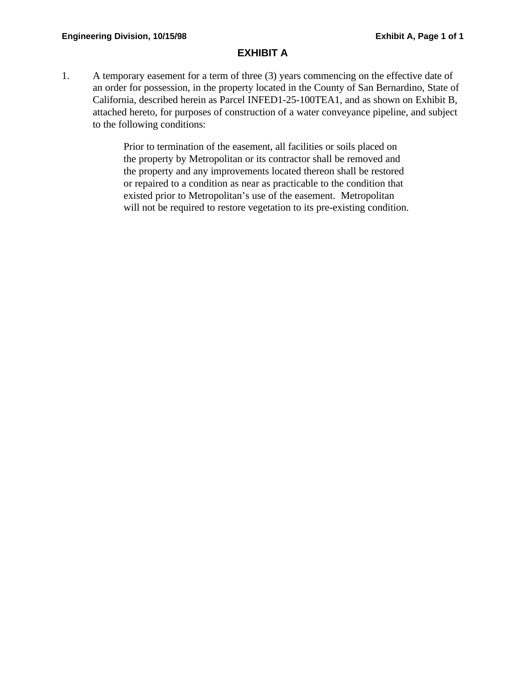# **EXHIBIT A**

1. A temporary easement for a term of three (3) years commencing on the effective date of an order for possession, in the property located in the County of San Bernardino, State of California, described herein as Parcel INFED1-25-100TEA1, and as shown on Exhibit B, attached hereto, for purposes of construction of a water conveyance pipeline, and subject to the following conditions:

> Prior to termination of the easement, all facilities or soils placed on the property by Metropolitan or its contractor shall be removed and the property and any improvements located thereon shall be restored or repaired to a condition as near as practicable to the condition that existed prior to Metropolitan's use of the easement. Metropolitan will not be required to restore vegetation to its pre-existing condition.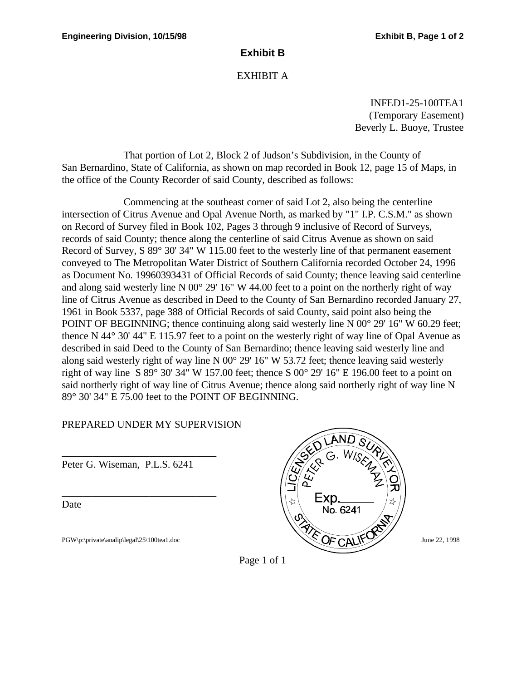# **Exhibit B**

# EXHIBIT A

INFED1-25-100TEA1 (Temporary Easement) Beverly L. Buoye, Trustee

That portion of Lot 2, Block 2 of Judson's Subdivision, in the County of San Bernardino, State of California, as shown on map recorded in Book 12, page 15 of Maps, in the office of the County Recorder of said County, described as follows:

Commencing at the southeast corner of said Lot 2, also being the centerline intersection of Citrus Avenue and Opal Avenue North, as marked by "1" I.P. C.S.M." as shown on Record of Survey filed in Book 102, Pages 3 through 9 inclusive of Record of Surveys, records of said County; thence along the centerline of said Citrus Avenue as shown on said Record of Survey, S 89° 30' 34" W 115.00 feet to the westerly line of that permanent easement conveyed to The Metropolitan Water District of Southern California recorded October 24, 1996 as Document No. 19960393431 of Official Records of said County; thence leaving said centerline and along said westerly line N  $00^{\circ}$  29' 16" W 44.00 feet to a point on the northerly right of way line of Citrus Avenue as described in Deed to the County of San Bernardino recorded January 27, 1961 in Book 5337, page 388 of Official Records of said County, said point also being the POINT OF BEGINNING; thence continuing along said westerly line N 00<sup>°</sup> 29' 16" W 60.29 feet; thence N 44° 30' 44" E 115.97 feet to a point on the westerly right of way line of Opal Avenue as described in said Deed to the County of San Bernardino; thence leaving said westerly line and along said westerly right of way line N 00° 29' 16" W 53.72 feet; thence leaving said westerly right of way line S 89 $\degree$  30' 34" W 157.00 feet; thence S 00 $\degree$  29' 16" E 196.00 feet to a point on said northerly right of way line of Citrus Avenue; thence along said northerly right of way line N 89° 30' 34" E 75.00 feet to the POINT OF BEGINNING.

# PREPARED UNDER MY SUPERVISION

\_\_\_\_\_\_\_\_\_\_\_\_\_\_\_\_\_\_\_\_\_\_\_\_\_\_\_\_\_\_ Peter G. Wiseman, P.L.S. 6241

\_\_\_\_\_\_\_\_\_\_\_\_\_\_\_\_\_\_\_\_\_\_\_\_\_\_\_\_\_\_

Date



Page 1 of 1